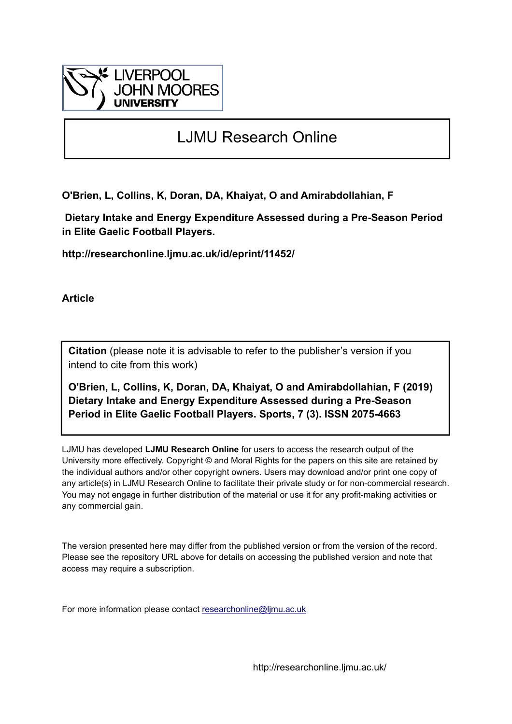

## LJMU Research Online

**O'Brien, L, Collins, K, Doran, DA, Khaiyat, O and Amirabdollahian, F**

 **Dietary Intake and Energy Expenditure Assessed during a Pre-Season Period in Elite Gaelic Football Players.**

**http://researchonline.ljmu.ac.uk/id/eprint/11452/**

**Article**

**Citation** (please note it is advisable to refer to the publisher's version if you intend to cite from this work)

**O'Brien, L, Collins, K, Doran, DA, Khaiyat, O and Amirabdollahian, F (2019) Dietary Intake and Energy Expenditure Assessed during a Pre-Season Period in Elite Gaelic Football Players. Sports, 7 (3). ISSN 2075-4663** 

LJMU has developed **[LJMU Research Online](http://researchonline.ljmu.ac.uk/)** for users to access the research output of the University more effectively. Copyright © and Moral Rights for the papers on this site are retained by the individual authors and/or other copyright owners. Users may download and/or print one copy of any article(s) in LJMU Research Online to facilitate their private study or for non-commercial research. You may not engage in further distribution of the material or use it for any profit-making activities or any commercial gain.

The version presented here may differ from the published version or from the version of the record. Please see the repository URL above for details on accessing the published version and note that access may require a subscription.

For more information please contact [researchonline@ljmu.ac.uk](mailto:researchonline@ljmu.ac.uk)

http://researchonline.ljmu.ac.uk/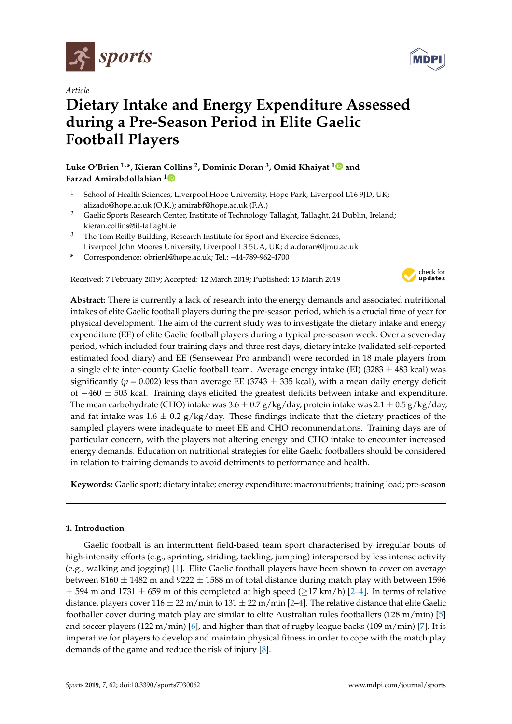

*Article*

# **Dietary Intake and Energy Expenditure Assessed during a Pre-Season Period in Elite Gaelic Football Players**

**Luke O'Brien 1,\*, Kieran Collins <sup>2</sup> , Dominic Doran <sup>3</sup> , Omid Khaiyat [1](https://orcid.org/0000-0002-0509-9172) and Farzad Amirabdollahian [1](https://orcid.org/0000-0003-1937-4128)**

- School of Health Sciences, Liverpool Hope University, Hope Park, Liverpool L16 9JD, UK; alizado@hope.ac.uk (O.K.); amirabf@hope.ac.uk (F.A.)
- <sup>2</sup> Gaelic Sports Research Center, Institute of Technology Tallaght, Tallaght, 24 Dublin, Ireland; kieran.collins@it-tallaght.ie
- <sup>3</sup> The Tom Reilly Building, Research Institute for Sport and Exercise Sciences, Liverpool John Moores University, Liverpool L3 5UA, UK; d.a.doran@ljmu.ac.uk
- **\*** Correspondence: obrienl@hope.ac.uk; Tel.: +44-789-962-4700

Received: 7 February 2019; Accepted: 12 March 2019; Published: 13 March 2019



**Abstract:** There is currently a lack of research into the energy demands and associated nutritional intakes of elite Gaelic football players during the pre-season period, which is a crucial time of year for physical development. The aim of the current study was to investigate the dietary intake and energy expenditure (EE) of elite Gaelic football players during a typical pre-season week. Over a seven-day period, which included four training days and three rest days, dietary intake (validated self-reported estimated food diary) and EE (Sensewear Pro armband) were recorded in 18 male players from a single elite inter-county Gaelic football team. Average energy intake (EI) (3283  $\pm$  483 kcal) was significantly ( $p = 0.002$ ) less than average EE (3743  $\pm$  335 kcal), with a mean daily energy deficit of  $-460 \pm 503$  kcal. Training days elicited the greatest deficits between intake and expenditure. The mean carbohydrate (CHO) intake was  $3.6 \pm 0.7$  g/kg/day, protein intake was  $2.1 \pm 0.5$  g/kg/day, and fat intake was  $1.6 \pm 0.2$  g/kg/day. These findings indicate that the dietary practices of the sampled players were inadequate to meet EE and CHO recommendations. Training days are of particular concern, with the players not altering energy and CHO intake to encounter increased energy demands. Education on nutritional strategies for elite Gaelic footballers should be considered in relation to training demands to avoid detriments to performance and health.

**Keywords:** Gaelic sport; dietary intake; energy expenditure; macronutrients; training load; pre-season

### **1. Introduction**

Gaelic football is an intermittent field-based team sport characterised by irregular bouts of high-intensity efforts (e.g., sprinting, striding, tackling, jumping) interspersed by less intense activity (e.g., walking and jogging) [\[1\]](#page-8-0). Elite Gaelic football players have been shown to cover on average between 8160  $\pm$  1482 m and 9222  $\pm$  1588 m of total distance during match play with between 1596  $\pm$  594 m and 1731  $\pm$  659 m of this completed at high speed ( $\geq$ 17 km/h) [\[2–](#page-8-1)[4\]](#page-8-2). In terms of relative distance, players cover  $116 \pm 22$  m/min to  $131 \pm 22$  m/min [\[2](#page-8-1)[–4\]](#page-8-2). The relative distance that elite Gaelic footballer cover during match play are similar to elite Australian rules footballers (128 m/min) [\[5\]](#page-8-3) and soccer players (122 m/min) [\[6\]](#page-8-4), and higher than that of rugby league backs (109 m/min) [\[7\]](#page-8-5). It is imperative for players to develop and maintain physical fitness in order to cope with the match play demands of the game and reduce the risk of injury [\[8\]](#page-9-0).

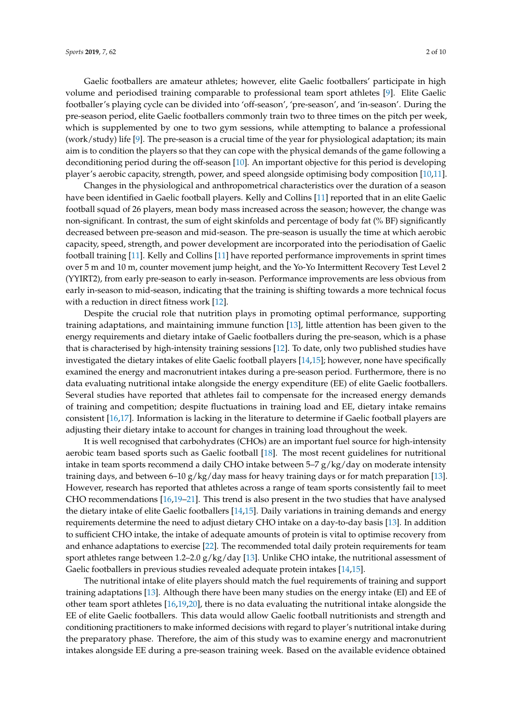Gaelic footballers are amateur athletes; however, elite Gaelic footballers' participate in high volume and periodised training comparable to professional team sport athletes [\[9\]](#page-9-1). Elite Gaelic footballer's playing cycle can be divided into 'off-season', 'pre-season', and 'in-season'. During the pre-season period, elite Gaelic footballers commonly train two to three times on the pitch per week, which is supplemented by one to two gym sessions, while attempting to balance a professional (work/study) life [\[9\]](#page-9-1). The pre-season is a crucial time of the year for physiological adaptation; its main aim is to condition the players so that they can cope with the physical demands of the game following a deconditioning period during the off-season [\[10\]](#page-9-2). An important objective for this period is developing

player's aerobic capacity, strength, power, and speed alongside optimising body composition [\[10,](#page-9-2)[11\]](#page-9-3).

Changes in the physiological and anthropometrical characteristics over the duration of a season have been identified in Gaelic football players. Kelly and Collins [\[11\]](#page-9-3) reported that in an elite Gaelic football squad of 26 players, mean body mass increased across the season; however, the change was non-significant. In contrast, the sum of eight skinfolds and percentage of body fat (% BF) significantly decreased between pre-season and mid-season. The pre-season is usually the time at which aerobic capacity, speed, strength, and power development are incorporated into the periodisation of Gaelic football training [\[11\]](#page-9-3). Kelly and Collins [\[11\]](#page-9-3) have reported performance improvements in sprint times over 5 m and 10 m, counter movement jump height, and the Yo-Yo Intermittent Recovery Test Level 2 (YYIRT2), from early pre-season to early in-season. Performance improvements are less obvious from early in-season to mid-season, indicating that the training is shifting towards a more technical focus with a reduction in direct fitness work [\[12\]](#page-9-4).

Despite the crucial role that nutrition plays in promoting optimal performance, supporting training adaptations, and maintaining immune function [\[13\]](#page-9-5), little attention has been given to the energy requirements and dietary intake of Gaelic footballers during the pre-season, which is a phase that is characterised by high-intensity training sessions [\[12\]](#page-9-4). To date, only two published studies have investigated the dietary intakes of elite Gaelic football players [\[14](#page-9-6)[,15\]](#page-9-7); however, none have specifically examined the energy and macronutrient intakes during a pre-season period. Furthermore, there is no data evaluating nutritional intake alongside the energy expenditure (EE) of elite Gaelic footballers. Several studies have reported that athletes fail to compensate for the increased energy demands of training and competition; despite fluctuations in training load and EE, dietary intake remains consistent [\[16](#page-9-8)[,17\]](#page-9-9). Information is lacking in the literature to determine if Gaelic football players are adjusting their dietary intake to account for changes in training load throughout the week.

It is well recognised that carbohydrates (CHOs) are an important fuel source for high-intensity aerobic team based sports such as Gaelic football [\[18\]](#page-9-10). The most recent guidelines for nutritional intake in team sports recommend a daily CHO intake between  $5-7 g/kg/day$  on moderate intensity training days, and between 6–10  $g/kg/day$  mass for heavy training days or for match preparation [\[13\]](#page-9-5). However, research has reported that athletes across a range of team sports consistently fail to meet CHO recommendations [\[16,](#page-9-8)[19](#page-9-11)[–21\]](#page-9-12). This trend is also present in the two studies that have analysed the dietary intake of elite Gaelic footballers [\[14,](#page-9-6)[15\]](#page-9-7). Daily variations in training demands and energy requirements determine the need to adjust dietary CHO intake on a day-to-day basis [\[13\]](#page-9-5). In addition to sufficient CHO intake, the intake of adequate amounts of protein is vital to optimise recovery from and enhance adaptations to exercise [\[22\]](#page-9-13). The recommended total daily protein requirements for team sport athletes range between 1.2–2.0 g/kg/day [\[13\]](#page-9-5). Unlike CHO intake, the nutritional assessment of Gaelic footballers in previous studies revealed adequate protein intakes [\[14](#page-9-6)[,15\]](#page-9-7).

The nutritional intake of elite players should match the fuel requirements of training and support training adaptations [\[13\]](#page-9-5). Although there have been many studies on the energy intake (EI) and EE of other team sport athletes [\[16](#page-9-8)[,19](#page-9-11)[,20\]](#page-9-14), there is no data evaluating the nutritional intake alongside the EE of elite Gaelic footballers. This data would allow Gaelic football nutritionists and strength and conditioning practitioners to make informed decisions with regard to player's nutritional intake during the preparatory phase. Therefore, the aim of this study was to examine energy and macronutrient intakes alongside EE during a pre-season training week. Based on the available evidence obtained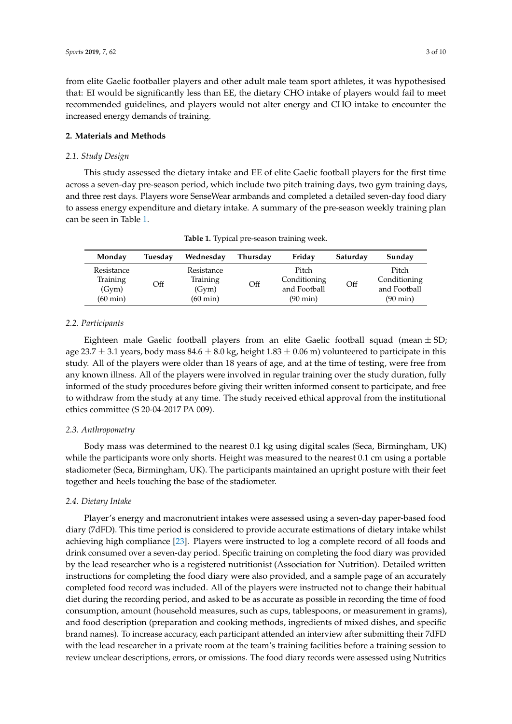from elite Gaelic footballer players and other adult male team sport athletes, it was hypothesised that: EI would be significantly less than EE, the dietary CHO intake of players would fail to meet recommended guidelines, and players would not alter energy and CHO intake to encounter the increased energy demands of training.

#### **2. Materials and Methods**

#### *2.1. Study Design*

This study assessed the dietary intake and EE of elite Gaelic football players for the first time across a seven-day pre-season period, which include two pitch training days, two gym training days, and three rest days. Players wore SenseWear armbands and completed a detailed seven-day food diary to assess energy expenditure and dietary intake. A summary of the pre-season weekly training plan can be seen in Table [1.](#page-3-0)

<span id="page-3-0"></span>

| Monday                                      | Tuesday | Wednesday                                   | Thursday | Friday                                                      | Saturday | Sunday                                                      |
|---------------------------------------------|---------|---------------------------------------------|----------|-------------------------------------------------------------|----------|-------------------------------------------------------------|
| Resistance<br>Training<br>(Gym)<br>(60 min) | Off     | Resistance<br>Training<br>(Gym)<br>(60 min) | Off      | Pitch<br>Conditioning<br>and Football<br>$(90 \text{ min})$ | Off      | Pitch<br>Conditioning<br>and Football<br>$(90 \text{ min})$ |

**Table 1.** Typical pre-season training week.

#### *2.2. Participants*

Eighteen male Gaelic football players from an elite Gaelic football squad (mean  $\pm$  SD; age 23.7  $\pm$  3.1 years, body mass 84.6  $\pm$  8.0 kg, height 1.83  $\pm$  0.06 m) volunteered to participate in this study. All of the players were older than 18 years of age, and at the time of testing, were free from any known illness. All of the players were involved in regular training over the study duration, fully informed of the study procedures before giving their written informed consent to participate, and free to withdraw from the study at any time. The study received ethical approval from the institutional ethics committee (S 20-04-2017 PA 009).

#### *2.3. Anthropometry*

Body mass was determined to the nearest 0.1 kg using digital scales (Seca, Birmingham, UK) while the participants wore only shorts. Height was measured to the nearest 0.1 cm using a portable stadiometer (Seca, Birmingham, UK). The participants maintained an upright posture with their feet together and heels touching the base of the stadiometer.

#### *2.4. Dietary Intake*

Player's energy and macronutrient intakes were assessed using a seven-day paper-based food diary (7dFD). This time period is considered to provide accurate estimations of dietary intake whilst achieving high compliance [\[23\]](#page-9-15). Players were instructed to log a complete record of all foods and drink consumed over a seven-day period. Specific training on completing the food diary was provided by the lead researcher who is a registered nutritionist (Association for Nutrition). Detailed written instructions for completing the food diary were also provided, and a sample page of an accurately completed food record was included. All of the players were instructed not to change their habitual diet during the recording period, and asked to be as accurate as possible in recording the time of food consumption, amount (household measures, such as cups, tablespoons, or measurement in grams), and food description (preparation and cooking methods, ingredients of mixed dishes, and specific brand names). To increase accuracy, each participant attended an interview after submitting their 7dFD with the lead researcher in a private room at the team's training facilities before a training session to review unclear descriptions, errors, or omissions. The food diary records were assessed using Nutritics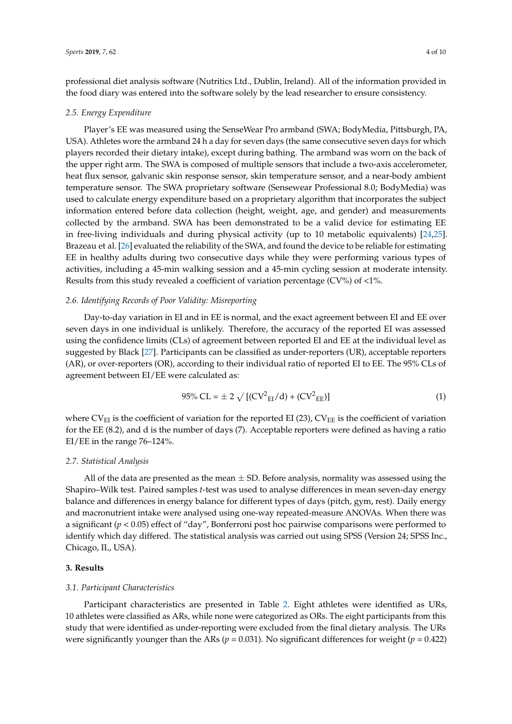professional diet analysis software (Nutritics Ltd., Dublin, Ireland). All of the information provided in the food diary was entered into the software solely by the lead researcher to ensure consistency.

#### *2.5. Energy Expenditure*

Player's EE was measured using the SenseWear Pro armband (SWA; BodyMedia, Pittsburgh, PA, USA). Athletes wore the armband 24 h a day for seven days (the same consecutive seven days for which players recorded their dietary intake), except during bathing. The armband was worn on the back of the upper right arm. The SWA is composed of multiple sensors that include a two-axis accelerometer, heat flux sensor, galvanic skin response sensor, skin temperature sensor, and a near-body ambient temperature sensor. The SWA proprietary software (Sensewear Professional 8.0; BodyMedia) was used to calculate energy expenditure based on a proprietary algorithm that incorporates the subject information entered before data collection (height, weight, age, and gender) and measurements collected by the armband. SWA has been demonstrated to be a valid device for estimating EE in free-living individuals and during physical activity (up to 10 metabolic equivalents) [\[24,](#page-9-16)[25\]](#page-9-17). Brazeau et al. [\[26\]](#page-9-18) evaluated the reliability of the SWA, and found the device to be reliable for estimating EE in healthy adults during two consecutive days while they were performing various types of activities, including a 45-min walking session and a 45-min cycling session at moderate intensity. Results from this study revealed a coefficient of variation percentage (CV%) of <1%.

#### *2.6. Identifying Records of Poor Validity: Misreporting*

Day-to-day variation in EI and in EE is normal, and the exact agreement between EI and EE over seven days in one individual is unlikely. Therefore, the accuracy of the reported EI was assessed using the confidence limits (CLs) of agreement between reported EI and EE at the individual level as suggested by Black [\[27\]](#page-9-19). Participants can be classified as under-reporters (UR), acceptable reporters (AR), or over-reporters (OR), according to their individual ratio of reported EI to EE. The 95% CLs of agreement between EI/EE were calculated as:

$$
95\% CL = \pm 2 \sqrt{[(CV^2_{EI}/d) + (CV^2_{EE})]}
$$
 (1)

where  $CV_{EI}$  is the coefficient of variation for the reported EI (23),  $CV_{EE}$  is the coefficient of variation for the EE (8.2), and d is the number of days (7). Acceptable reporters were defined as having a ratio EI/EE in the range 76–124%.

#### *2.7. Statistical Analysis*

All of the data are presented as the mean  $\pm$  SD. Before analysis, normality was assessed using the Shapiro–Wilk test. Paired samples *t*-test was used to analyse differences in mean seven-day energy balance and differences in energy balance for different types of days (pitch, gym, rest). Daily energy and macronutrient intake were analysed using one-way repeated-measure ANOVAs. When there was a significant (*p* < 0.05) effect of "day", Bonferroni post hoc pairwise comparisons were performed to identify which day differed. The statistical analysis was carried out using SPSS (Version 24; SPSS Inc., Chicago, IL, USA).

#### **3. Results**

#### *3.1. Participant Characteristics*

Participant characteristics are presented in Table [2.](#page-5-0) Eight athletes were identified as URs, 10 athletes were classified as ARs, while none were categorized as ORs. The eight participants from this study that were identified as under-reporting were excluded from the final dietary analysis. The URs were significantly younger than the ARs ( $p = 0.031$ ). No significant differences for weight ( $p = 0.422$ )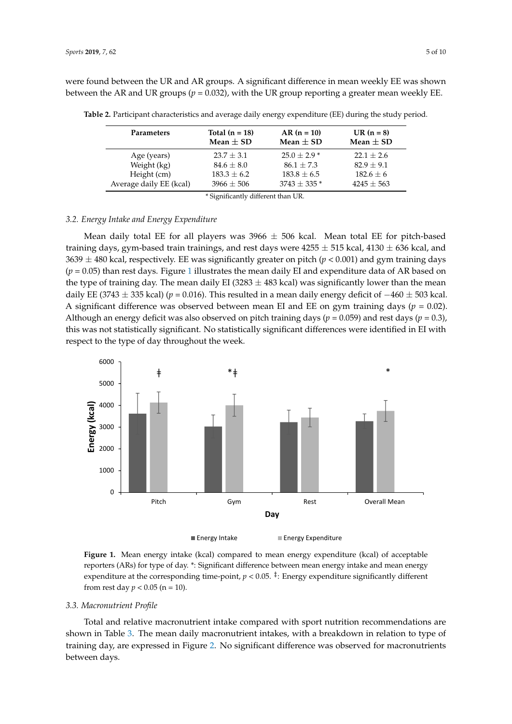were found between the UR and AR groups. A significant difference in mean weekly EE was shown between the AR and UR groups ( $p = 0.032$ ), with the UR group reporting a greater mean weekly EE.

| <b>Parameters</b>                  | Total $(n = 18)$<br>Mean $\pm$ SD | $AR (n = 10)$<br>Mean $\pm$ SD | $UR(n = 8)$<br>Mean $\pm$ SD |  |  |  |
|------------------------------------|-----------------------------------|--------------------------------|------------------------------|--|--|--|
| Age (years)                        | $23.7 + 3.1$                      | $25.0 + 2.9*$                  | $22.1 + 2.6$                 |  |  |  |
| Weight (kg)                        | $84.6 + 8.0$                      | $86.1 + 7.3$                   | $82.9 + 9.1$                 |  |  |  |
| Height (cm)                        | $183.3 \pm 6.2$                   | $183.8 \pm 6.5$                | $182.6 \pm 6$                |  |  |  |
| Average daily EE (kcal)            | $3966 + 506$                      | $3743 \pm 335$ *               | $4245 \pm 563$               |  |  |  |
| * Significantly different than UR. |                                   |                                |                              |  |  |  |

<span id="page-5-0"></span>**Table 2.** Participant characteristics and average daily energy expenditure (EE) during the study period. **Table 2.** Participant characteristics and average daily energy expenditure (EE) during the study  $\sum_{i=1}^{n}$ 

 $\sim$  Significantly different than UR.

### *3.2. Energy Intake and Energy Expenditure 3.2. Energy Intake and Energy Expenditure*

Mean daily total EE for all players was 3966  $\pm$  506 kcal. Mean total EE for pitch-based training days, gym-based train trainings, and rest days were 4255  $\pm$  515 kcal, 4130  $\pm$  636 kcal, and 3639  $\pm$  480 kcal, respectively. EE was significantly greater on pitch ( $p$  < 0.001) and gym training days  $(p = 0.05)$  than rest days. Figure 1 illustra[te](#page-5-1)s the mean daily EI and expenditure data of AR based on the type of training day. The mean daily EI (3283  $\pm$  483 kcal) was significantly lower than the mean daily EE (3743 ± 335 kcal) (*p* = 0.016). This resulted in a mean daily energy deficit of −460 ± 503 kcal. (3743 ± 335 kcal) (*p* = 0.016). This resulted in a mean daily energy deficit of −460 ± 503 kcal. A A significant difference was observed between mean EI and EE on gym training days (*p* = 0.02). significant difference was observed between mean EI and EE on gym training days (*p* = 0.02). Although an energy deficit was also observed on pitch training days ( $p = 0.059$ ) and rest days ( $p = 0.3$ ), this was not statistically significant. No statistically significant differences were identified in EI with respect to the type of day throughout the week.

<span id="page-5-1"></span>

**Figure 1.** Mean energy intake (kcal) compared to mean energy expenditure (kcal) of acceptable reporters (ARs) for type of day. \*: Significant difference between mean energy intake and mean energy expenditure at the corresponding time-point,  $p < 0.05$ . <sup>‡</sup>: Energy expenditure significantly different from rest day *p* < 0.05 (n = 10). from rest day *p* < 0.05 (n = 10). **Figure 1.** Mean energy intake (kcal) compared to mean energy expenditure (kcal) of acceptable

## *3.3. Macronutrient Profile 3.3. Macronutrient Profile*

Total and relative macronutrient intake compared with sport nutrition recommendations are shown in Table 3. The mean daily macronutrient intakes, with a breakdown in relation to type of shown in Table [3.](#page-6-0) The mean daily macronutrient intakes, with a breakdown in relation to type of training day, are expressed in Figure 2. No significant difference was observed for macronutrients training day, are expressed in Figure [2.](#page-6-1) No significant difference was observed for macronutrients between days. between days.Total and relative macronutrient intake compared with sport nutrition recommendations are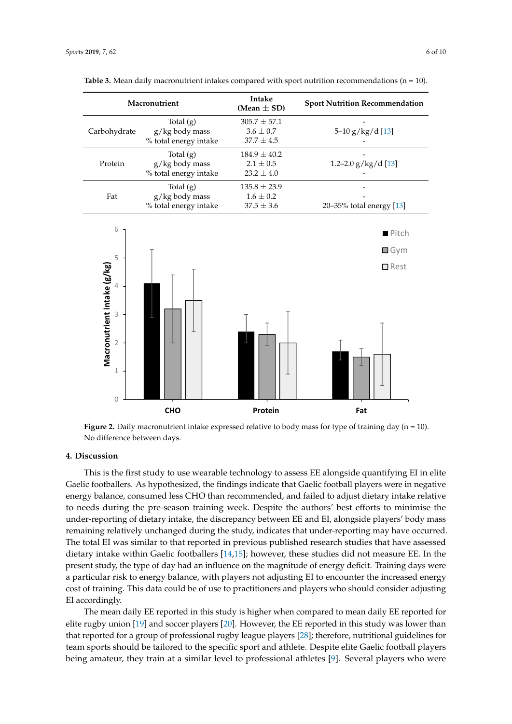| Macronutrient |                                                        | Intake<br>(Mean $\pm$ SD)                           | <b>Sport Nutrition Recommendation</b> |  |
|---------------|--------------------------------------------------------|-----------------------------------------------------|---------------------------------------|--|
| Carbohydrate  | Total $(g)$<br>g/kg body mass<br>% total energy intake | $305.7 \pm 57.1$<br>$3.6 \pm 0.7$<br>$37.7 \pm 4.5$ | $5-10$ g/kg/d [13]                    |  |
| Protein       | Total $(g)$<br>g/kg body mass<br>% total energy intake | $184.9 \pm 40.2$<br>$2.1 \pm 0.5$<br>$23.2 \pm 4.0$ | 1.2-2.0 $g/kg/d$ [13]                 |  |
| Fat           | Total $(g)$<br>g/kg body mass<br>% total energy intake | $135.8 \pm 23.9$<br>$1.6 \pm 0.2$<br>$37.5 \pm 3.6$ | 20-35% total energy [13]              |  |

<span id="page-6-0"></span>

<span id="page-6-1"></span>

**Figure 2.** Daily macronutrient intake expressed relative to body mass for type of training day (n = 10). No difference between days. No difference between days.

#### **4. Discussion**

**4. Discussion**  Gaelic footballers. As hypothesized, the findings indicate that Gaelic football players were in negative energy balance, consumed less CHO than recommended, and failed to adjust dietary intake relative to needs during the pre-season training week. Despite the authors' best efforts to minimise the under-reporting of dietary intake, the discrepancy between EE and EI, alongside players' body mass remaining relatively unchanged during the study, indicates that under-reporting may have occurred. The total EI was similar to that reported in previous published research studies that have assessed dietary intake within Gaelic footballers [\[14](#page-9-6)[,15\]](#page-9-7); however, these studies did not measure EE. In the present study, the type of day had an influence on the magnitude of energy deficit. Training days were a particular risk to energy balance, with players not adjusting EI to encounter the increased energy cost of training. This data could be of use to practitioners and players who should consider adjusting EI accordingly. This data cost of use to practice the players who should be of use to practice  $\mathbb{E}$  and players who should be of use to players who should be of use to players who should be obtained by a should be obta This is the first study to use wearable technology to assess EE alongside quantifying EI in elite

The mean daily EE reported in this study is higher when compared to mean daily EE reported for elite rugby union [\[19\]](#page-9-11) and soccer players [\[20\]](#page-9-14). However, the EE reported in this study was lower than that reported for a group of professional rugby league players [\[28\]](#page-9-20); therefore, nutritional guidelines for team sports should be tailored to the specific sport and athlete. Despite elite Gaelic football players being amateur, they train at a similar level to professional athletes [\[9\]](#page-9-1). Several players who were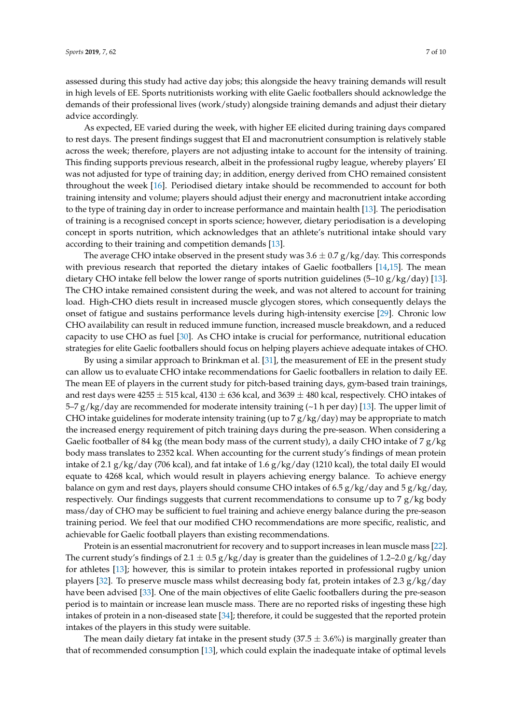assessed during this study had active day jobs; this alongside the heavy training demands will result in high levels of EE. Sports nutritionists working with elite Gaelic footballers should acknowledge the demands of their professional lives (work/study) alongside training demands and adjust their dietary advice accordingly.

As expected, EE varied during the week, with higher EE elicited during training days compared to rest days. The present findings suggest that EI and macronutrient consumption is relatively stable across the week; therefore, players are not adjusting intake to account for the intensity of training. This finding supports previous research, albeit in the professional rugby league, whereby players' EI was not adjusted for type of training day; in addition, energy derived from CHO remained consistent throughout the week [\[16\]](#page-9-8). Periodised dietary intake should be recommended to account for both training intensity and volume; players should adjust their energy and macronutrient intake according to the type of training day in order to increase performance and maintain health [\[13\]](#page-9-5). The periodisation of training is a recognised concept in sports science; however, dietary periodisation is a developing concept in sports nutrition, which acknowledges that an athlete's nutritional intake should vary according to their training and competition demands [\[13\]](#page-9-5).

The average CHO intake observed in the present study was  $3.6 \pm 0.7$  g/kg/day. This corresponds with previous research that reported the dietary intakes of Gaelic footballers [\[14](#page-9-6)[,15\]](#page-9-7). The mean dietary CHO intake fell below the lower range of sports nutrition guidelines (5–10  $g/kg/day$ ) [\[13\]](#page-9-5). The CHO intake remained consistent during the week, and was not altered to account for training load. High-CHO diets result in increased muscle glycogen stores, which consequently delays the onset of fatigue and sustains performance levels during high-intensity exercise [\[29\]](#page-10-0). Chronic low CHO availability can result in reduced immune function, increased muscle breakdown, and a reduced capacity to use CHO as fuel [\[30\]](#page-10-1). As CHO intake is crucial for performance, nutritional education strategies for elite Gaelic footballers should focus on helping players achieve adequate intakes of CHO.

By using a similar approach to Brinkman et al. [\[31\]](#page-10-2), the measurement of EE in the present study can allow us to evaluate CHO intake recommendations for Gaelic footballers in relation to daily EE. The mean EE of players in the current study for pitch-based training days, gym-based train trainings, and rest days were  $4255 \pm 515$  kcal,  $4130 \pm 636$  kcal, and  $3639 \pm 480$  kcal, respectively. CHO intakes of 5–7  $g/kg/day$  are recommended for moderate intensity training ( $\sim$ 1 h per day) [\[13\]](#page-9-5). The upper limit of CHO intake guidelines for moderate intensity training (up to 7  $g/kg/day$ ) may be appropriate to match the increased energy requirement of pitch training days during the pre-season. When considering a Gaelic footballer of 84 kg (the mean body mass of the current study), a daily CHO intake of 7 g/kg body mass translates to 2352 kcal. When accounting for the current study's findings of mean protein intake of 2.1 g/kg/day (706 kcal), and fat intake of 1.6 g/kg/day (1210 kcal), the total daily EI would equate to 4268 kcal, which would result in players achieving energy balance. To achieve energy balance on gym and rest days, players should consume CHO intakes of 6.5  $g/kg/day$  and 5  $g/kg/day$ , respectively. Our findings suggests that current recommendations to consume up to 7  $g/kg$  body mass/day of CHO may be sufficient to fuel training and achieve energy balance during the pre-season training period. We feel that our modified CHO recommendations are more specific, realistic, and achievable for Gaelic football players than existing recommendations.

Protein is an essential macronutrient for recovery and to support increases in lean muscle mass [\[22\]](#page-9-13). The current study's findings of  $2.1 \pm 0.5$  g/kg/day is greater than the guidelines of 1.2–2.0 g/kg/day for athletes [\[13\]](#page-9-5); however, this is similar to protein intakes reported in professional rugby union players [\[32\]](#page-10-3). To preserve muscle mass whilst decreasing body fat, protein intakes of 2.3  $g/kg/day$ have been advised [\[33\]](#page-10-4). One of the main objectives of elite Gaelic footballers during the pre-season period is to maintain or increase lean muscle mass. There are no reported risks of ingesting these high intakes of protein in a non-diseased state [\[34\]](#page-10-5); therefore, it could be suggested that the reported protein intakes of the players in this study were suitable.

The mean daily dietary fat intake in the present study  $(37.5 \pm 3.6\%)$  is marginally greater than that of recommended consumption [\[13\]](#page-9-5), which could explain the inadequate intake of optimal levels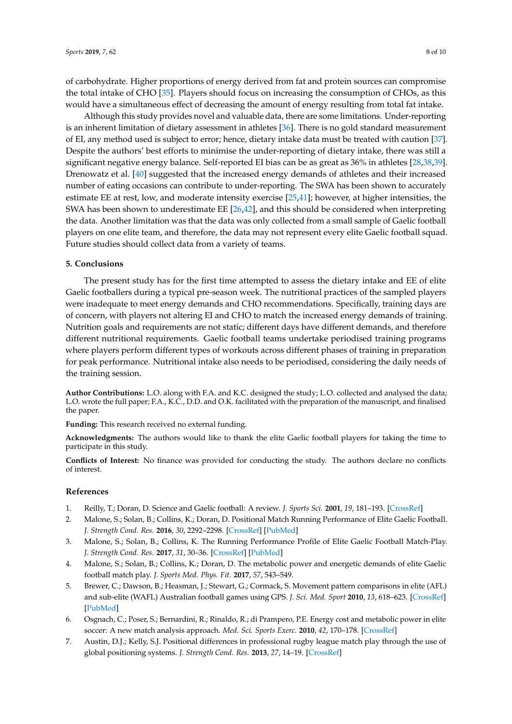of carbohydrate. Higher proportions of energy derived from fat and protein sources can compromise the total intake of CHO [\[35\]](#page-10-6). Players should focus on increasing the consumption of CHOs, as this would have a simultaneous effect of decreasing the amount of energy resulting from total fat intake.

Although this study provides novel and valuable data, there are some limitations. Under-reporting is an inherent limitation of dietary assessment in athletes [\[36\]](#page-10-7). There is no gold standard measurement of EI, any method used is subject to error; hence, dietary intake data must be treated with caution [\[37\]](#page-10-8). Despite the authors' best efforts to minimise the under-reporting of dietary intake, there was still a significant negative energy balance. Self-reported EI bias can be as great as 36% in athletes [\[28,](#page-9-20)[38,](#page-10-9)[39\]](#page-10-10). Drenowatz et al. [\[40\]](#page-10-11) suggested that the increased energy demands of athletes and their increased number of eating occasions can contribute to under-reporting. The SWA has been shown to accurately estimate EE at rest, low, and moderate intensity exercise [\[25,](#page-9-17)[41\]](#page-10-12); however, at higher intensities, the SWA has been shown to underestimate EE [\[26,](#page-9-18)[42\]](#page-10-13), and this should be considered when interpreting the data. Another limitation was that the data was only collected from a small sample of Gaelic football players on one elite team, and therefore, the data may not represent every elite Gaelic football squad. Future studies should collect data from a variety of teams.

#### **5. Conclusions**

The present study has for the first time attempted to assess the dietary intake and EE of elite Gaelic footballers during a typical pre-season week. The nutritional practices of the sampled players were inadequate to meet energy demands and CHO recommendations. Specifically, training days are of concern, with players not altering EI and CHO to match the increased energy demands of training. Nutrition goals and requirements are not static; different days have different demands, and therefore different nutritional requirements. Gaelic football teams undertake periodised training programs where players perform different types of workouts across different phases of training in preparation for peak performance. Nutritional intake also needs to be periodised, considering the daily needs of the training session.

**Author Contributions:** L.O. along with F.A. and K.C. designed the study; L.O. collected and analysed the data; L.O. wrote the full paper; F.A., K.C., D.D. and O.K. facilitated with the preparation of the manuscript, and finalised the paper.

**Funding:** This research received no external funding.

**Acknowledgments:** The authors would like to thank the elite Gaelic football players for taking the time to participate in this study.

**Conflicts of Interest:** No finance was provided for conducting the study. The authors declare no conflicts of interest.

#### **References**

- <span id="page-8-0"></span>1. Reilly, T.; Doran, D. Science and Gaelic football: A review. *J. Sports Sci.* **2001**, *19*, 181–193. [\[CrossRef\]](http://dx.doi.org/10.1080/026404101750095330)
- <span id="page-8-1"></span>2. Malone, S.; Solan, B.; Collins, K.; Doran, D. Positional Match Running Performance of Elite Gaelic Football. *J. Strength Cond. Res.* **2016**, *30*, 2292–2298. [\[CrossRef\]](http://dx.doi.org/10.1519/JSC.0000000000001309) [\[PubMed\]](http://www.ncbi.nlm.nih.gov/pubmed/26694505)
- 3. Malone, S.; Solan, B.; Collins, K. The Running Performance Profile of Elite Gaelic Football Match-Play. *J. Strength Cond. Res.* **2017**, *31*, 30–36. [\[CrossRef\]](http://dx.doi.org/10.1519/JSC.0000000000001477) [\[PubMed\]](http://www.ncbi.nlm.nih.gov/pubmed/27191694)
- <span id="page-8-2"></span>4. Malone, S.; Solan, B.; Collins, K.; Doran, D. The metabolic power and energetic demands of elite Gaelic football match play. *J. Sports Med. Phys. Fit.* **2017**, *57*, 543–549.
- <span id="page-8-3"></span>5. Brewer, C.; Dawson, B.; Heasman, J.; Stewart, G.; Cormack, S. Movement pattern comparisons in elite (AFL) and sub-elite (WAFL) Australian football games using GPS. *J. Sci. Med. Sport* **2010**, *13*, 618–623. [\[CrossRef\]](http://dx.doi.org/10.1016/j.jsams.2010.01.005) [\[PubMed\]](http://www.ncbi.nlm.nih.gov/pubmed/20434398)
- <span id="page-8-4"></span>6. Osgnach, C.; Poser, S.; Bernardini, R.; Rinaldo, R.; di Prampero, P.E. Energy cost and metabolic power in elite soccer: A new match analysis approach. *Med. Sci. Sports Exerc.* **2010**, *42*, 170–178. [\[CrossRef\]](http://dx.doi.org/10.1249/MSS.0b013e3181ae5cfd)
- <span id="page-8-5"></span>7. Austin, D.J.; Kelly, S.J. Positional differences in professional rugby league match play through the use of global positioning systems. *J. Strength Cond. Res.* **2013**, *27*, 14–19. [\[CrossRef\]](http://dx.doi.org/10.1519/JSC.0b013e31824e108c)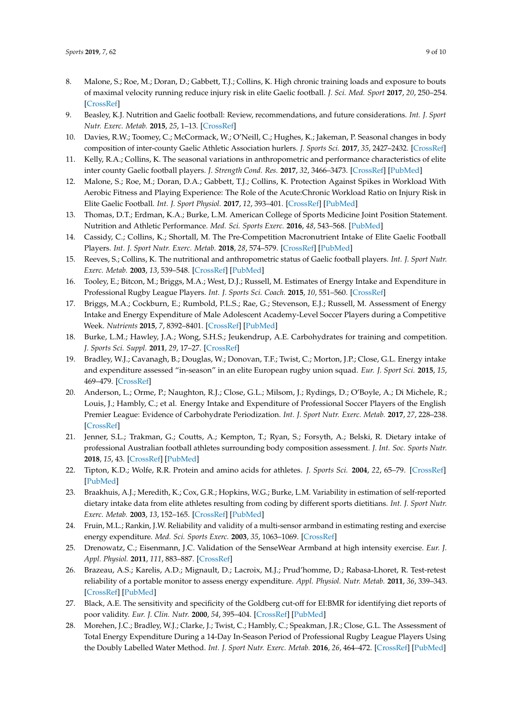- <span id="page-9-0"></span>8. Malone, S.; Roe, M.; Doran, D.; Gabbett, T.J.; Collins, K. High chronic training loads and exposure to bouts of maximal velocity running reduce injury risk in elite Gaelic football. *J. Sci. Med. Sport* **2017**, *20*, 250–254. [\[CrossRef\]](http://dx.doi.org/10.1016/j.jsams.2016.08.005)
- <span id="page-9-1"></span>9. Beasley, K.J. Nutrition and Gaelic football: Review, recommendations, and future considerations. *Int. J. Sport Nutr. Exerc. Metab.* **2015**, *25*, 1–13. [\[CrossRef\]](http://dx.doi.org/10.1123/ijsnem.2013-0214)
- <span id="page-9-2"></span>10. Davies, R.W.; Toomey, C.; McCormack, W.; O'Neill, C.; Hughes, K.; Jakeman, P. Seasonal changes in body composition of inter-county Gaelic Athletic Association hurlers. *J. Sports Sci.* **2017**, *35*, 2427–2432. [\[CrossRef\]](http://dx.doi.org/10.1080/02640414.2016.1272709)
- <span id="page-9-3"></span>11. Kelly, R.A.; Collins, K. The seasonal variations in anthropometric and performance characteristics of elite inter county Gaelic football players. *J. Strength Cond. Res.* **2017**, *32*, 3466–3473. [\[CrossRef\]](http://dx.doi.org/10.1519/JSC.0000000000001861) [\[PubMed\]](http://www.ncbi.nlm.nih.gov/pubmed/28234717)
- <span id="page-9-4"></span>12. Malone, S.; Roe, M.; Doran, D.A.; Gabbett, T.J.; Collins, K. Protection Against Spikes in Workload With Aerobic Fitness and Playing Experience: The Role of the Acute:Chronic Workload Ratio on Injury Risk in Elite Gaelic Football. *Int. J. Sport Physiol.* **2017**, *12*, 393–401. [\[CrossRef\]](http://dx.doi.org/10.1123/ijspp.2016-0090) [\[PubMed\]](http://www.ncbi.nlm.nih.gov/pubmed/27400233)
- <span id="page-9-5"></span>13. Thomas, D.T.; Erdman, K.A.; Burke, L.M. American College of Sports Medicine Joint Position Statement. Nutrition and Athletic Performance. *Med. Sci. Sports Exerc.* **2016**, *48*, 543–568. [\[PubMed\]](http://www.ncbi.nlm.nih.gov/pubmed/26891166)
- <span id="page-9-6"></span>14. Cassidy, C.; Collins, K.; Shortall, M. The Pre-Competition Macronutrient Intake of Elite Gaelic Football Players. *Int. J. Sport Nutr. Exerc. Metab.* **2018**, *28*, 574–579. [\[CrossRef\]](http://dx.doi.org/10.1123/ijsnem.2017-0292) [\[PubMed\]](http://www.ncbi.nlm.nih.gov/pubmed/29405786)
- <span id="page-9-7"></span>15. Reeves, S.; Collins, K. The nutritional and anthropometric status of Gaelic football players. *Int. J. Sport Nutr. Exerc. Metab.* **2003**, *13*, 539–548. [\[CrossRef\]](http://dx.doi.org/10.1123/ijsnem.13.4.539) [\[PubMed\]](http://www.ncbi.nlm.nih.gov/pubmed/14967875)
- <span id="page-9-8"></span>16. Tooley, E.; Bitcon, M.; Briggs, M.A.; West, D.J.; Russell, M. Estimates of Energy Intake and Expenditure in Professional Rugby League Players. *Int. J. Sports Sci. Coach.* **2015**, *10*, 551–560. [\[CrossRef\]](http://dx.doi.org/10.1260/1747-9541.10.2-3.551)
- <span id="page-9-9"></span>17. Briggs, M.A.; Cockburn, E.; Rumbold, P.L.S.; Rae, G.; Stevenson, E.J.; Russell, M. Assessment of Energy Intake and Energy Expenditure of Male Adolescent Academy-Level Soccer Players during a Competitive Week. *Nutrients* **2015**, *7*, 8392–8401. [\[CrossRef\]](http://dx.doi.org/10.3390/nu7105400) [\[PubMed\]](http://www.ncbi.nlm.nih.gov/pubmed/26445059)
- <span id="page-9-10"></span>18. Burke, L.M.; Hawley, J.A.; Wong, S.H.S.; Jeukendrup, A.E. Carbohydrates for training and competition. *J. Sports Sci. Suppl.* **2011**, *29*, 17–27. [\[CrossRef\]](http://dx.doi.org/10.1080/02640414.2011.585473)
- <span id="page-9-11"></span>19. Bradley, W.J.; Cavanagh, B.; Douglas, W.; Donovan, T.F.; Twist, C.; Morton, J.P.; Close, G.L. Energy intake and expenditure assessed "in-season" in an elite European rugby union squad. *Eur. J. Sport Sci.* **2015**, *15*, 469–479. [\[CrossRef\]](http://dx.doi.org/10.1080/17461391.2015.1042528)
- <span id="page-9-14"></span>20. Anderson, L.; Orme, P.; Naughton, R.J.; Close, G.L.; Milsom, J.; Rydings, D.; O'Boyle, A.; Di Michele, R.; Louis, J.; Hambly, C.; et al. Energy Intake and Expenditure of Professional Soccer Players of the English Premier League: Evidence of Carbohydrate Periodization. *Int. J. Sport Nutr. Exerc. Metab.* **2017**, *27*, 228–238. [\[CrossRef\]](http://dx.doi.org/10.1123/ijsnem.2016-0259)
- <span id="page-9-12"></span>21. Jenner, S.L.; Trakman, G.; Coutts, A.; Kempton, T.; Ryan, S.; Forsyth, A.; Belski, R. Dietary intake of professional Australian football athletes surrounding body composition assessment. *J. Int. Soc. Sports Nutr.* **2018**, *15*, 43. [\[CrossRef\]](http://dx.doi.org/10.1186/s12970-018-0248-5) [\[PubMed\]](http://www.ncbi.nlm.nih.gov/pubmed/30217203)
- <span id="page-9-13"></span>22. Tipton, K.D.; Wolfe, R.R. Protein and amino acids for athletes. *J. Sports Sci.* **2004**, *22*, 65–79. [\[CrossRef\]](http://dx.doi.org/10.1080/0264041031000140554) [\[PubMed\]](http://www.ncbi.nlm.nih.gov/pubmed/14971434)
- <span id="page-9-15"></span>23. Braakhuis, A.J.; Meredith, K.; Cox, G.R.; Hopkins, W.G.; Burke, L.M. Variability in estimation of self-reported dietary intake data from elite athletes resulting from coding by different sports dietitians. *Int. J. Sport Nutr. Exerc. Metab.* **2003**, *13*, 152–165. [\[CrossRef\]](http://dx.doi.org/10.1123/ijsnem.13.2.152) [\[PubMed\]](http://www.ncbi.nlm.nih.gov/pubmed/12945826)
- <span id="page-9-16"></span>24. Fruin, M.L.; Rankin, J.W. Reliability and validity of a multi-sensor armband in estimating resting and exercise energy expenditure. *Med. Sci. Sports Exerc.* **2003**, *35*, 1063–1069. [\[CrossRef\]](http://dx.doi.org/10.1097/00005768-200305001-01587)
- <span id="page-9-17"></span>25. Drenowatz, C.; Eisenmann, J.C. Validation of the SenseWear Armband at high intensity exercise. *Eur. J. Appl. Physiol.* **2011**, *111*, 883–887. [\[CrossRef\]](http://dx.doi.org/10.1007/s00421-010-1695-0)
- <span id="page-9-18"></span>26. Brazeau, A.S.; Karelis, A.D.; Mignault, D.; Lacroix, M.J.; Prud'homme, D.; Rabasa-Lhoret, R. Test-retest reliability of a portable monitor to assess energy expenditure. *Appl. Physiol. Nutr. Metab.* **2011**, *36*, 339–343. [\[CrossRef\]](http://dx.doi.org/10.1139/h11-016) [\[PubMed\]](http://www.ncbi.nlm.nih.gov/pubmed/21574780)
- <span id="page-9-19"></span>27. Black, A.E. The sensitivity and specificity of the Goldberg cut-off for EI:BMR for identifying diet reports of poor validity. *Eur. J. Clin. Nutr.* **2000**, *54*, 395–404. [\[CrossRef\]](http://dx.doi.org/10.1038/sj.ejcn.1600971) [\[PubMed\]](http://www.ncbi.nlm.nih.gov/pubmed/10822286)
- <span id="page-9-20"></span>28. Morehen, J.C.; Bradley, W.J.; Clarke, J.; Twist, C.; Hambly, C.; Speakman, J.R.; Close, G.L. The Assessment of Total Energy Expenditure During a 14-Day In-Season Period of Professional Rugby League Players Using the Doubly Labelled Water Method. *Int. J. Sport Nutr. Exerc. Metab.* **2016**, *26*, 464–472. [\[CrossRef\]](http://dx.doi.org/10.1123/ijsnem.2015-0335) [\[PubMed\]](http://www.ncbi.nlm.nih.gov/pubmed/27096279)